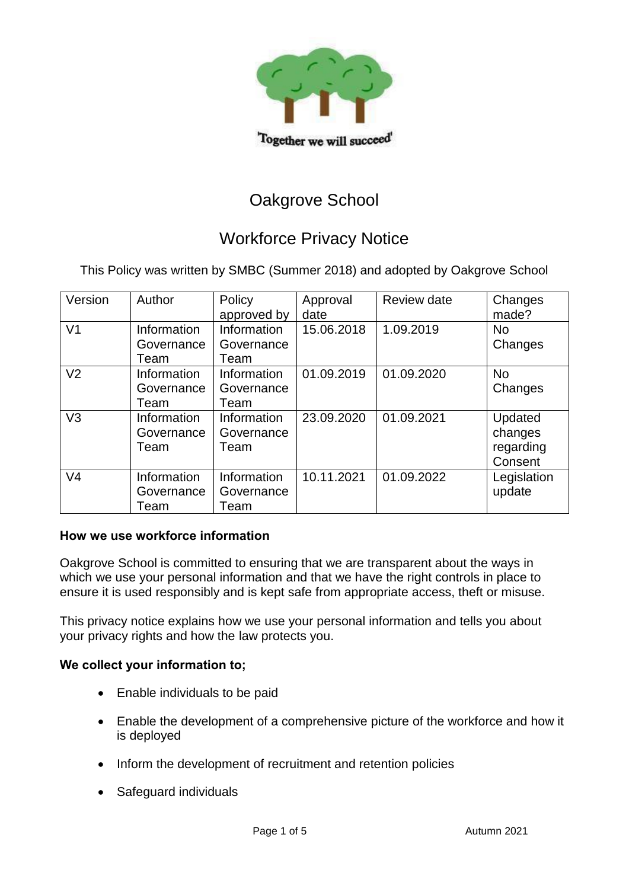

# Oakgrove School

## Workforce Privacy Notice

This Policy was written by SMBC (Summer 2018) and adopted by Oakgrove School

| Version        | Author                                   | Policy<br>approved by             | Approval<br>date | Review date | Changes<br>made?                           |
|----------------|------------------------------------------|-----------------------------------|------------------|-------------|--------------------------------------------|
| V <sub>1</sub> | <b>Information</b><br>Governance<br>Team | Information<br>Governance<br>Team | 15.06.2018       | 1.09.2019   | <b>No</b><br>Changes                       |
| V <sub>2</sub> | Information<br>Governance<br>Team        | Information<br>Governance<br>Team | 01.09.2019       | 01.09.2020  | <b>No</b><br>Changes                       |
| V <sub>3</sub> | <b>Information</b><br>Governance<br>Team | Information<br>Governance<br>Team | 23.09.2020       | 01.09.2021  | Updated<br>changes<br>regarding<br>Consent |
| V <sub>4</sub> | Information<br>Governance<br>Team        | Information<br>Governance<br>Team | 10.11.2021       | 01.09.2022  | Legislation<br>update                      |

#### **How we use workforce information**

Oakgrove School is committed to ensuring that we are transparent about the ways in which we use your personal information and that we have the right controls in place to ensure it is used responsibly and is kept safe from appropriate access, theft or misuse.

This privacy notice explains how we use your personal information and tells you about your privacy rights and how the law protects you.

#### **We collect your information to;**

- Enable individuals to be paid
- Enable the development of a comprehensive picture of the workforce and how it is deployed
- Inform the development of recruitment and retention policies
- Safeguard individuals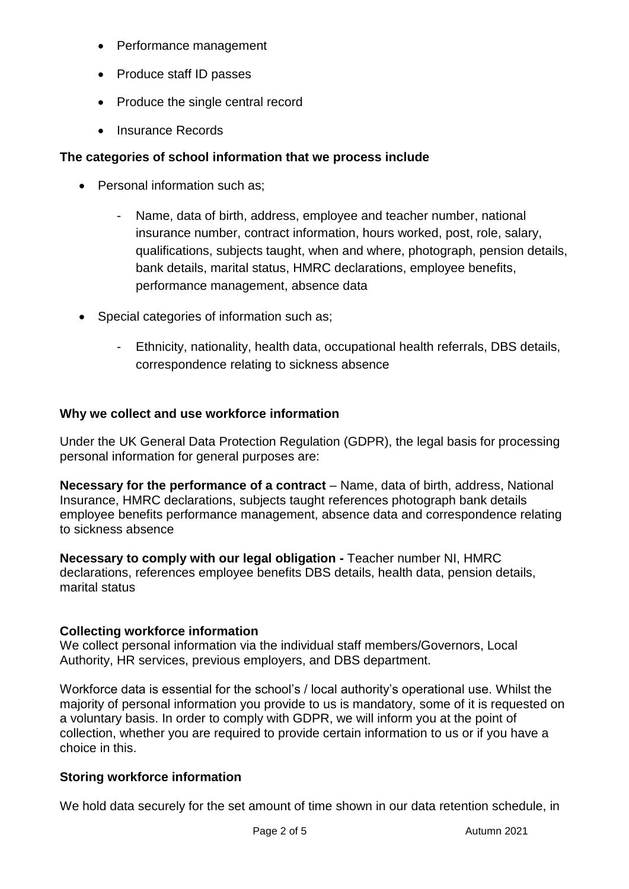- Performance management
- Produce staff ID passes
- Produce the single central record
- Insurance Records

## **The categories of school information that we process include**

- Personal information such as;
	- Name, data of birth, address, employee and teacher number, national insurance number, contract information, hours worked, post, role, salary, qualifications, subjects taught, when and where, photograph, pension details, bank details, marital status, HMRC declarations, employee benefits, performance management, absence data
- Special categories of information such as;
	- Ethnicity, nationality, health data, occupational health referrals, DBS details, correspondence relating to sickness absence

### **Why we collect and use workforce information**

Under the UK General Data Protection Regulation (GDPR), the legal basis for processing personal information for general purposes are:

**Necessary for the performance of a contract** – Name, data of birth, address, National Insurance, HMRC declarations, subjects taught references photograph bank details employee benefits performance management, absence data and correspondence relating to sickness absence

**Necessary to comply with our legal obligation -** Teacher number NI, HMRC declarations, references employee benefits DBS details, health data, pension details, marital status

## **Collecting workforce information**

We collect personal information via the individual staff members/Governors, Local Authority, HR services, previous employers, and DBS department.

Workforce data is essential for the school's / local authority's operational use. Whilst the majority of personal information you provide to us is mandatory, some of it is requested on a voluntary basis. In order to comply with GDPR, we will inform you at the point of collection, whether you are required to provide certain information to us or if you have a choice in this.

## **Storing workforce information**

We hold data securely for the set amount of time shown in our data retention schedule, in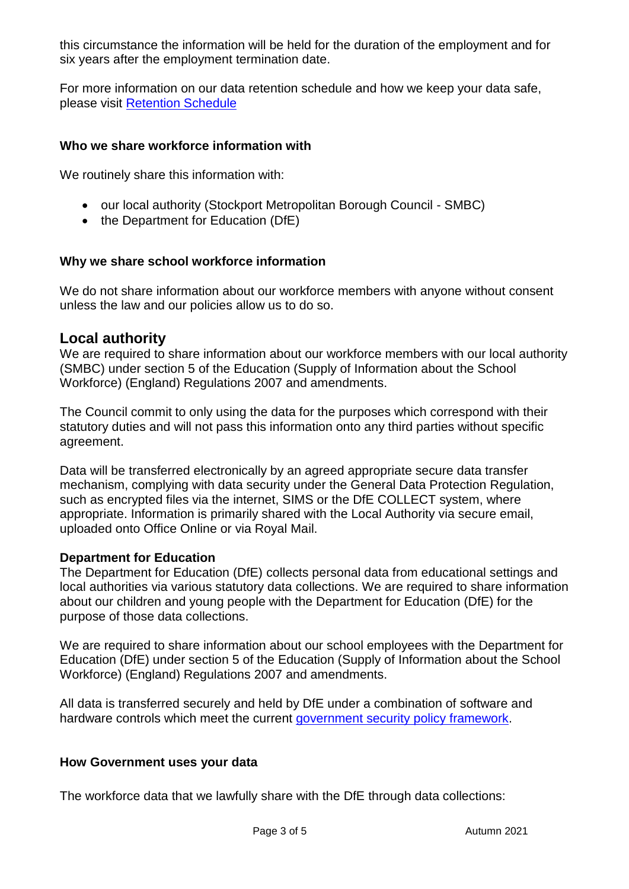this circumstance the information will be held for the duration of the employment and for six years after the employment termination date.

For more information on our data retention schedule and how we keep your data safe, please visit [Retention Schedule](file://///oak-simssql.oakgrove.internal/admindata/Office%20Documents/Retention%20Schedule/School%20Retention%20Schedule%202021-2022.xlsx)

### **Who we share workforce information with**

We routinely share this information with:

- our local authority (Stockport Metropolitan Borough Council SMBC)
- the Department for Education (DfE)

#### **Why we share school workforce information**

We do not share information about our workforce members with anyone without consent unless the law and our policies allow us to do so.

## **Local authority**

We are required to share information about our workforce members with our local authority (SMBC) under section 5 of the Education (Supply of Information about the School Workforce) (England) Regulations 2007 and amendments.

The Council commit to only using the data for the purposes which correspond with their statutory duties and will not pass this information onto any third parties without specific agreement.

Data will be transferred electronically by an agreed appropriate secure data transfer mechanism, complying with data security under the General Data Protection Regulation, such as encrypted files via the internet, SIMS or the DfE COLLECT system, where appropriate. Information is primarily shared with the Local Authority via secure email, uploaded onto Office Online or via Royal Mail.

#### **Department for Education**

The Department for Education (DfE) collects personal data from educational settings and local authorities via various statutory data collections. We are required to share information about our children and young people with the Department for Education (DfE) for the purpose of those data collections.

We are required to share information about our school employees with the Department for Education (DfE) under section 5 of the Education (Supply of Information about the School Workforce) (England) Regulations 2007 and amendments.

All data is transferred securely and held by DfE under a combination of software and hardware controls which meet the current [government security policy framework.](https://www.gov.uk/government/publications/security-policy-framework)

#### **How Government uses your data**

The workforce data that we lawfully share with the DfE through data collections: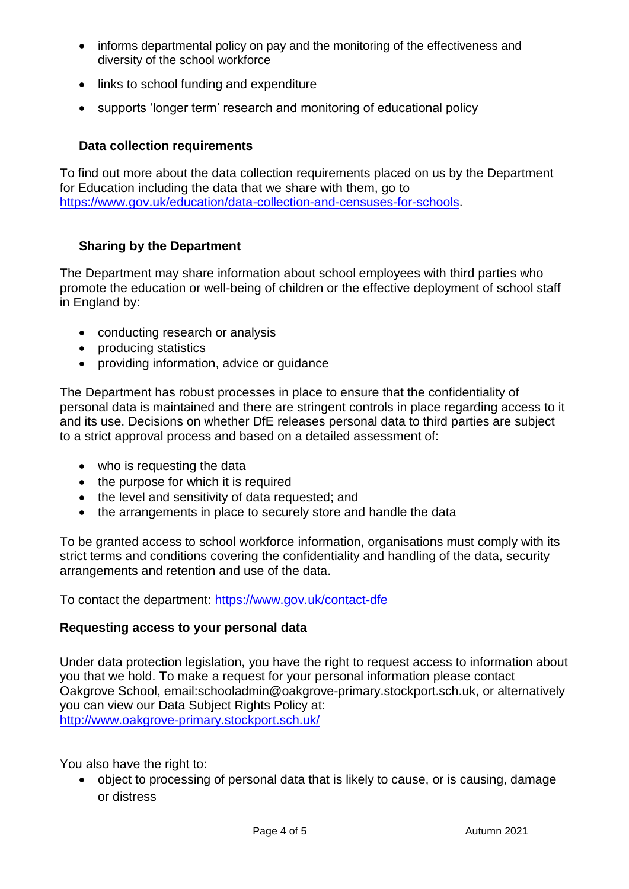- informs departmental policy on pay and the monitoring of the effectiveness and diversity of the school workforce
- links to school funding and expenditure
- supports 'longer term' research and monitoring of educational policy

## **Data collection requirements**

To find out more about the data collection requirements placed on us by the Department for Education including the data that we share with them, go to [https://www.gov.uk/education/data-collection-and-censuses-for-schools.](https://www.gov.uk/education/data-collection-and-censuses-for-schools)

## **Sharing by the Department**

The Department may share information about school employees with third parties who promote the education or well-being of children or the effective deployment of school staff in England by:

- conducting research or analysis
- producing statistics
- providing information, advice or guidance

The Department has robust processes in place to ensure that the confidentiality of personal data is maintained and there are stringent controls in place regarding access to it and its use. Decisions on whether DfE releases personal data to third parties are subject to a strict approval process and based on a detailed assessment of:

- who is requesting the data
- the purpose for which it is required
- the level and sensitivity of data requested: and
- the arrangements in place to securely store and handle the data

To be granted access to school workforce information, organisations must comply with its strict terms and conditions covering the confidentiality and handling of the data, security arrangements and retention and use of the data.

To contact the department:<https://www.gov.uk/contact-dfe>

## **Requesting access to your personal data**

Under data protection legislation, you have the right to request access to information about you that we hold. To make a request for your personal information please contact Oakgrove School, email:schooladmin@oakgrove-primary.stockport.sch.uk, or alternatively you can view our Data Subject Rights Policy at: <http://www.oakgrove-primary.stockport.sch.uk/>

You also have the right to:

• object to processing of personal data that is likely to cause, or is causing, damage or distress